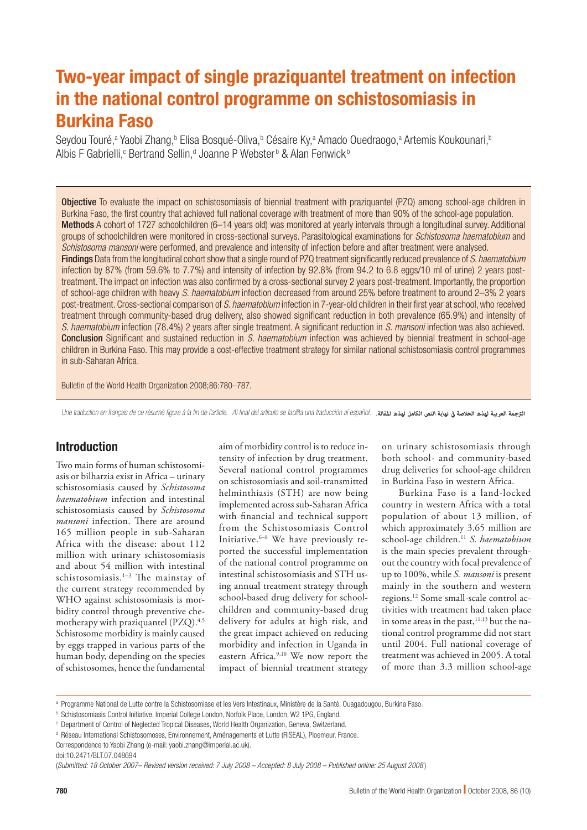# Two-year impact of single praziquantel treatment on infection in the national control programme on schistosomiasis in Burkina Faso

Seydou Touré,<sup>a</sup> Yaobi Zhang,<sup>b</sup> Elisa Bosqué-Oliva,<sup>b</sup> Césaire Ky,<sup>a</sup> Amado Ouedraogo,<sup>a</sup> Artemis Koukounari,<sup>b</sup> Albis F Gabrielli,<sup>c</sup> Bertrand Sellin,<sup>d</sup> Joanne P Webster<sup>b</sup> & Alan Fenwick<sup>b</sup>

**Objective** To evaluate the impact on schistosomiasis of biennial treatment with praziquantel (PZQ) among school-age children in Burkina Faso, the first country that achieved full national coverage with treatment of more than 90% of the school-age population. Methods A cohort of 1727 schoolchildren (6–14 years old) was monitored at yearly intervals through a longitudinal survey. Additional groups of schoolchildren were monitored in cross-sectional surveys. Parasitological examinations for *Schistosoma haematobium* and *Schistosoma mansoni* were performed, and prevalence and intensity of infection before and after treatment were analysed. Findings Data from the longitudinal cohort show that a single round of PZQ treatment significantly reduced prevalence of *S. haematobium* infection by 87% (from 59.6% to 7.7%) and intensity of infection by 92.8% (from 94.2 to 6.8 eggs/10 ml of urine) 2 years posttreatment. The impact on infection was also confirmed by a cross-sectional survey 2 years post-treatment. Importantly, the proportion of school-age children with heavy *S. haematobium* infection decreased from around 25% before treatment to around 2–3% 2 years post-treatment. Cross-sectional comparison of *S. haematobium* infection in 7-year-old children in their first year at school, who received treatment through community-based drug delivery, also showed significant reduction in both prevalence (65.9%) and intensity of *S. haematobium* infection (78.4%) 2 years after single treatment. A significant reduction in *S. mansoni* infection was also achieved. Conclusion Significant and sustained reduction in *S. haematobium* infection was achieved by biennial treatment in school-age children in Burkina Faso. This may provide a cost-effective treatment strategy for similar national schistosomiasis control programmes in sub-Saharan Africa.

Bulletin of the World Health Organization 2008;86:780–787.

Une traduction en français de ce résumé figure à la fin de l'article. Al final del artículo se facilita una traducción al español. *.املقالة لهذه الكامل النص نهاية يف الخالصة لهذه العربية الرتجمة*

# Introduction

Two main forms of human schistosomiasis or bilharzia exist in Africa – urinary schistosomiasis caused by *Schistosoma haematobium* infection and intestinal schistosomiasis caused by *Schistosoma mansoni* infection. There are around 165 million people in sub-Saharan Africa with the disease: about 112 million with urinary schistosomiasis and about 54 million with intestinal schistosomiasis.1–3 The mainstay of the current strategy recommended by WHO against schistosomiasis is morbidity control through preventive chemotherapy with praziquantel (PZO).<sup>4,5</sup> Schistosome morbidity is mainly caused by eggs trapped in various parts of the human body, depending on the species of schistosomes, hence the fundamental

aim of morbidity control is to reduce intensity of infection by drug treatment. Several national control programmes on schistosomiasis and soil-transmitted helminthiasis (STH) are now being implemented across sub-Saharan Africa with financial and technical support from the Schistosomiasis Control Initiative. $6-8$  We have previously reported the successful implementation of the national control programme on intestinal schistosomiasis and STH using annual treatment strategy through school-based drug delivery for schoolchildren and community-based drug delivery for adults at high risk, and the great impact achieved on reducing morbidity and infection in Uganda in eastern Africa.<sup>9,10</sup> We now report the impact of biennial treatment strategy on urinary schistosomiasis through both school- and community-based drug deliveries for school-age children in Burkina Faso in western Africa.

Burkina Faso is a land-locked country in western Africa with a total population of about 13 million, of which approximately 3.65 million are school-age children.11 *S. haematobium* is the main species prevalent throughout the country with focal prevalence of up to 100%, while *S. mansoni* is present mainly in the southern and western regions.12 Some small-scale control activities with treatment had taken place in some areas in the past,  $11,13$  but the national control programme did not start until 2004. Full national coverage of treatment was achieved in 2005. A total of more than 3.3 million school-age

a Programme National de Lutte contre la Schistosomiase et les Vers Intestinaux, Ministère de la Santé, Ouagadougou, Burkina Faso.

**b Schistosomiasis Control Initiative, Imperial College London, Norfolk Place, London, W2 1PG, England.** 

c Department of Control of Neglected Tropical Diseases, World Health Organization, Geneva, Switzerland.

<sup>&</sup>lt;sup>d</sup> Réseau International Schistosomoses, Environnement, Aménagements et Lutte (RISEAL), Ploemeur, France.

Correspondence to Yaobi Zhang (e-mail: yaobi.zhang@imperial.ac.uk). doi:10.2471/BLT.07.048694

<sup>(</sup>*Submitted: 18 October 2007– Revised version received: 7 July 2008 – Accepted: 8 July 2008 – Published online: 25 August 2008* )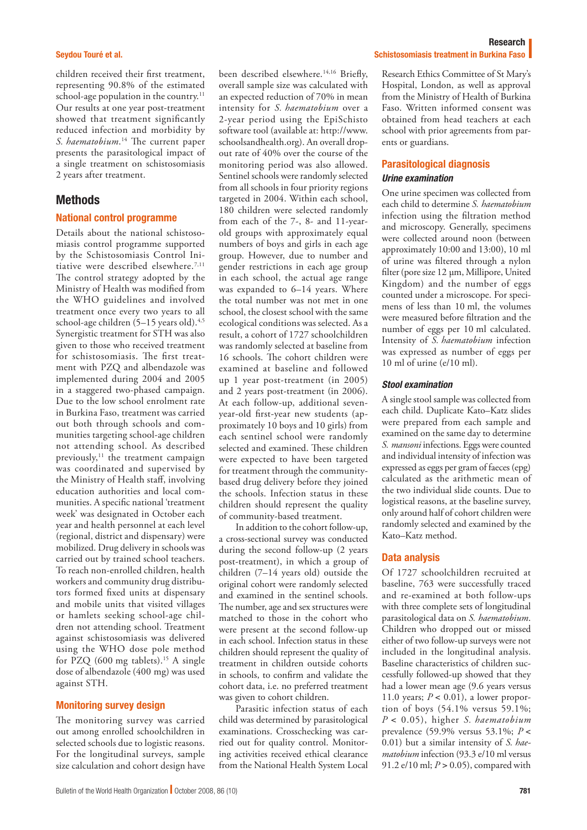#### Seydou Touré et al.

children received their first treatment, representing 90.8% of the estimated school-age population in the country.<sup>11</sup> Our results at one year post-treatment showed that treatment significantly reduced infection and morbidity by *S. haematobium*. 14 The current paper presents the parasitological impact of a single treatment on schistosomiasis 2 years after treatment.

# **Methods**

#### National control programme

Details about the national schistosomiasis control programme supported by the Schistosomiasis Control Initiative were described elsewhere.<sup>7,11</sup> The control strategy adopted by the Ministry of Health was modified from the WHO guidelines and involved treatment once every two years to all school-age children  $(5-15$  years old).<sup>4,5</sup> Synergistic treatment for STH was also given to those who received treatment for schistosomiasis. The first treatment with PZQ and albendazole was implemented during 2004 and 2005 in a staggered two-phased campaign. Due to the low school enrolment rate in Burkina Faso, treatment was carried out both through schools and communities targeting school-age children not attending school. As described previously,<sup>11</sup> the treatment campaign was coordinated and supervised by the Ministry of Health staff, involving education authorities and local communities. A specific national 'treatment week' was designated in October each year and health personnel at each level (regional, district and dispensary) were mobilized. Drug delivery in schools was carried out by trained school teachers. To reach non-enrolled children, health workers and community drug distributors formed fixed units at dispensary and mobile units that visited villages or hamlets seeking school-age children not attending school. Treatment against schistosomiasis was delivered using the WHO dose pole method for PZQ  $(600 \text{ mg }$  tablets).<sup>15</sup> A single dose of albendazole (400 mg) was used against STH.

### Monitoring survey design

The monitoring survey was carried out among enrolled schoolchildren in selected schools due to logistic reasons. For the longitudinal surveys, sample size calculation and cohort design have

been described elsewhere.14,16 Briefly, overall sample size was calculated with an expected reduction of 70% in mean intensity for *S. haematobium* over a 2-year period using the EpiSchisto software tool (available at: [http://www.](http://www.schoolsandhealth.org) [schoolsandhealth.org](http://www.schoolsandhealth.org)). An overall dropout rate of 40% over the course of the monitoring period was also allowed. Sentinel schools were randomly selected from all schools in four priority regions targeted in 2004. Within each school, 180 children were selected randomly from each of the 7-, 8- and 11-yearold groups with approximately equal numbers of boys and girls in each age group. However, due to number and gender restrictions in each age group in each school, the actual age range was expanded to 6–14 years. Where the total number was not met in one school, the closest school with the same ecological conditions was selected. As a result, a cohort of 1727 schoolchildren was randomly selected at baseline from 16 schools. The cohort children were examined at baseline and followed up 1 year post-treatment (in 2005) and 2 years post-treatment (in 2006). At each follow-up, additional sevenyear-old first-year new students (approximately 10 boys and 10 girls) from each sentinel school were randomly selected and examined. These children were expected to have been targeted for treatment through the communitybased drug delivery before they joined the schools. Infection status in these children should represent the quality of community-based treatment.

In addition to the cohort follow-up, a cross-sectional survey was conducted during the second follow-up (2 years post-treatment), in which a group of children (7–14 years old) outside the original cohort were randomly selected and examined in the sentinel schools. The number, age and sex structures were matched to those in the cohort who were present at the second follow-up in each school. Infection status in these children should represent the quality of treatment in children outside cohorts in schools, to confirm and validate the cohort data, i.e. no preferred treatment was given to cohort children.

Parasitic infection status of each child was determined by parasitological examinations. Crosschecking was carried out for quality control. Monitoring activities received ethical clearance from the National Health System Local

#### Research Schistosomiasis treatment in Burkina Faso

Research Ethics Committee of St Mary's Hospital, London, as well as approval from the Ministry of Health of Burkina Faso. Written informed consent was obtained from head teachers at each school with prior agreements from parents or guardians.

## Parasitological diagnosis *Urine examination*

One urine specimen was collected from each child to determine *S. haematobium* infection using the filtration method and microscopy. Generally, specimens were collected around noon (between approximately 10:00 and 13:00), 10 ml of urine was filtered through a nylon filter (pore size 12 μm, Millipore, United Kingdom) and the number of eggs counted under a microscope. For specimens of less than 10 ml, the volumes were measured before filtration and the number of eggs per 10 ml calculated. Intensity of *S. haematobium* infection was expressed as number of eggs per 10 ml of urine (e/10 ml).

## *Stool examination*

A single stool sample was collected from each child. Duplicate Kato–Katz slides were prepared from each sample and examined on the same day to determine *S. mansoni* infections. Eggs were counted and individual intensity of infection was expressed as eggs per gram of faeces (epg) calculated as the arithmetic mean of the two individual slide counts. Due to logistical reasons, at the baseline survey, only around half of cohort children were randomly selected and examined by the Kato–Katz method.

#### Data analysis

Of 1727 schoolchildren recruited at baseline, 763 were successfully traced and re-examined at both follow-ups with three complete sets of longitudinal parasitological data on *S. haematobium*. Children who dropped out or missed either of two follow-up surveys were not included in the longitudinal analysis. Baseline characteristics of children successfully followed-up showed that they had a lower mean age (9.6 years versus 11.0 years;  $P < 0.01$ ), a lower proportion of boys (54.1% versus 59.1%; *P* < 0.05), higher *S. haematobium* prevalence (59.9% versus 53.1%; *P* < 0.01) but a similar intensity of *S. haematobium* infection (93.3 e/10 ml versus 91.2 e/10 ml; *P* > 0.05), compared with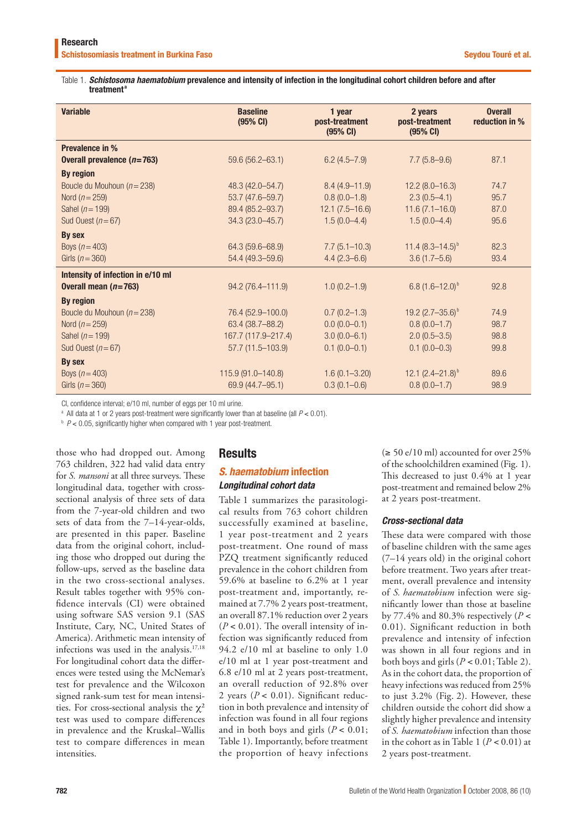#### Table 1. *Schistosoma haematobium* prevalence and intensity of infection in the longitudinal cohort children before and after treatment<sup>a</sup>

| <b>Variable</b>                   | <b>Baseline</b><br>(95% CI) | 1 year<br>post-treatment<br>(95% CI) | 2 years<br>post-treatment<br>(95% CI) | <b>Overall</b><br>reduction in % |
|-----------------------------------|-----------------------------|--------------------------------------|---------------------------------------|----------------------------------|
| Prevalence in %                   |                             |                                      |                                       |                                  |
| Overall prevalence $(n=763)$      | $59.6(56.2 - 63.1)$         | $6.2(4.5 - 7.9)$                     | $7.7(5.8-9.6)$                        | 87.1                             |
| <b>By region</b>                  |                             |                                      |                                       |                                  |
| Boucle du Mouhoun ( $n = 238$ )   | 48.3 (42.0-54.7)            | $8.4(4.9 - 11.9)$                    | $12.2(8.0-16.3)$                      | 74.7                             |
| Nord ( $n = 259$ )                | 53.7 (47.6-59.7)            | $0.8(0.0-1.8)$                       | $2.3(0.5-4.1)$                        | 95.7                             |
| Sahel ( $n = 199$ )               | 89.4 (85.2-93.7)            | $12.1 (7.5 - 16.6)$                  | $11.6(7.1 - 16.0)$                    | 87.0                             |
| Sud Ouest ( $n = 67$ )            | 34.3 (23.0-45.7)            | $1.5(0.0-4.4)$                       | $1.5(0.0-4.4)$                        | 95.6                             |
| By sex                            |                             |                                      |                                       |                                  |
| Boys $(n = 403)$                  | 64.3 (59.6-68.9)            | $7.7(5.1 - 10.3)$                    | 11.4 $(8.3 - 14.5)^{b}$               | 82.3                             |
| Girls $(n=360)$                   | 54.4 (49.3-59.6)            | $4.4(2.3-6.6)$                       | $3.6(1.7-5.6)$                        | 93.4                             |
| Intensity of infection in e/10 ml |                             |                                      |                                       |                                  |
| Overall mean $(n=763)$            | 94.2 (76.4-111.9)           | $1.0(0.2 - 1.9)$                     | 6.8 $(1.6 - 12.0)^{b}$                | 92.8                             |
| <b>By region</b>                  |                             |                                      |                                       |                                  |
| Boucle du Mouhoun ( $n = 238$ )   | 76.4 (52.9 - 100.0)         | $0.7(0.2 - 1.3)$                     | 19.2 $(2.7-35.6)^{b}$                 | 74.9                             |
| Nord ( $n = 259$ )                | 63.4 (38.7-88.2)            | $0.0(0.0-0.1)$                       | $0.8(0.0-1.7)$                        | 98.7                             |
| Sahel ( $n = 199$ )               | 167.7 (117.9-217.4)         | $3.0(0.0 - 6.1)$                     | $2.0(0.5-3.5)$                        | 98.8                             |
| Sud Ouest ( $n = 67$ )            | $57.7(11.5 - 103.9)$        | $0.1(0.0-0.1)$                       | $0.1(0.0-0.3)$                        | 99.8                             |
| By sex                            |                             |                                      |                                       |                                  |
| Boys $(n=403)$                    | 115.9 (91.0-140.8)          | $1.6(0.1 - 3.20)$                    | 12.1 $(2.4 - 21.8)^{b}$               | 89.6                             |
| Girls $(n=360)$                   | 69.9 (44.7-95.1)            | $0.3(0.1-0.6)$                       | $0.8(0.0-1.7)$                        | 98.9                             |

CI, confidence interval; e/10 ml, number of eggs per 10 ml urine.

a All data at 1 or 2 years post-treatment were significantly lower than at baseline (all *P* < 0.01).

<sup>b</sup>  $P$  < 0.05, significantly higher when compared with 1 year post-treatment.

those who had dropped out. Among 763 children, 322 had valid data entry for *S. mansoni* at all three surveys. These longitudinal data, together with crosssectional analysis of three sets of data from the 7-year-old children and two sets of data from the 7–14-year-olds, are presented in this paper. Baseline data from the original cohort, including those who dropped out during the follow-ups, served as the baseline data in the two cross-sectional analyses. Result tables together with 95% confidence intervals (CI) were obtained using software SAS version 9.1 (SAS Institute, Cary, NC, United States of America). Arithmetic mean intensity of infections was used in the analysis.17,18 For longitudinal cohort data the differences were tested using the McNemar's test for prevalence and the Wilcoxon signed rank-sum test for mean intensities. For cross-sectional analysis the  $\chi^2$ test was used to compare differences in prevalence and the Kruskal–Wallis test to compare differences in mean intensities.

# **Results**

# *S. haematobium* infection

# *Longitudinal cohort data*

Table 1 summarizes the parasitological results from 763 cohort children successfully examined at baseline, 1 year post-treatment and 2 years post-treatment. One round of mass PZQ treatment significantly reduced prevalence in the cohort children from 59.6% at baseline to 6.2% at 1 year post-treatment and, importantly, remained at 7.7% 2 years post-treatment, an overall 87.1% reduction over 2 years  $(P < 0.01)$ . The overall intensity of infection was significantly reduced from 94.2 e/10 ml at baseline to only 1.0 e/10 ml at 1 year post-treatment and 6.8 e/10 ml at 2 years post-treatment, an overall reduction of 92.8% over 2 years (*P* < 0.01). Significant reduction in both prevalence and intensity of infection was found in all four regions and in both boys and girls  $(P < 0.01)$ ; Table 1). Importantly, before treatment the proportion of heavy infections

 $(\geq 50 \text{ e}/10 \text{ ml})$  accounted for over 25% of the schoolchildren examined (Fig. 1). This decreased to just 0.4% at 1 year post-treatment and remained below 2% at 2 years post-treatment.

# *Cross-sectional data*

These data were compared with those of baseline children with the same ages (7–14 years old) in the original cohort before treatment. Two years after treatment, overall prevalence and intensity of *S. haematobium* infection were significantly lower than those at baseline by 77.4% and 80.3% respectively (*P* < 0.01). Significant reduction in both prevalence and intensity of infection was shown in all four regions and in both boys and girls (*P* < 0.01; Table 2). As in the cohort data, the proportion of heavy infections was reduced from 25% to just 3.2% (Fig. 2). However, these children outside the cohort did show a slightly higher prevalence and intensity of *S. haematobium* infection than those in the cohort as in Table 1 ( $P < 0.01$ ) at 2 years post-treatment.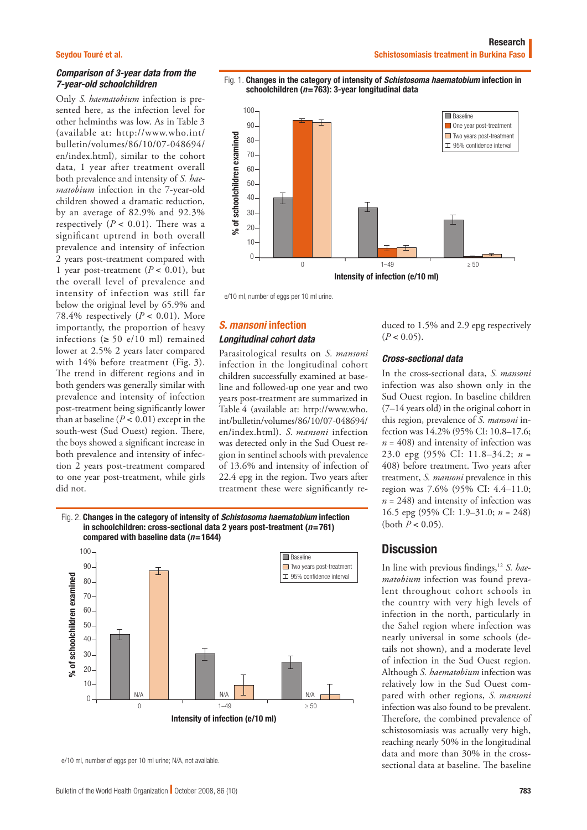#### Seydou Touré et al.

## *Comparison of 3-year data from the 7-year-old schoolchildren*

Only *S. haematobium* infection is presented here, as the infection level for other helminths was low. As in Table 3 (available at: [http://www.who.int/](http://www.who.int/bulletin/volumes/86/10/07-048694/en/index.html) [bulletin/volumes/86/10/07-048694/](http://www.who.int/bulletin/volumes/86/10/07-048694/en/index.html) [en/index.html\)](http://www.who.int/bulletin/volumes/86/10/07-048694/en/index.html), similar to the cohort data, 1 year after treatment overall both prevalence and intensity of *S. haematobium* infection in the 7-year-old children showed a dramatic reduction, by an average of 82.9% and 92.3% respectively  $(P < 0.01)$ . There was a significant uptrend in both overall prevalence and intensity of infection 2 years post-treatment compared with 1 year post-treatment  $(P < 0.01)$ , but the overall level of prevalence and intensity of infection was still far below the original level by 65.9% and 78.4% respectively  $(P < 0.01)$ . More importantly, the proportion of heavy infections  $(≥ 50 e/10 ml)$  remained lower at 2.5% 2 years later compared with 14% before treatment (Fig. 3). The trend in different regions and in both genders was generally similar with prevalence and intensity of infection post-treatment being significantly lower than at baseline  $(P < 0.01)$  except in the south-west (Sud Ouest) region. There, the boys showed a significant increase in both prevalence and intensity of infection 2 years post-treatment compared to one year post-treatment, while girls did not.





## *S. mansoni* infection *Longitudinal cohort data*

Parasitological results on *S. mansoni* infection in the longitudinal cohort children successfully examined at baseline and followed-up one year and two years post-treatment are summarized in Table 4 (available at: [http://www.who.](http://www.who.int/bulletin/volumes/86/10/07-048694/en/index.html) [int/bulletin/volumes/86/10/07-048694/](http://www.who.int/bulletin/volumes/86/10/07-048694/en/index.html) [en/index.html\)](http://www.who.int/bulletin/volumes/86/10/07-048694/en/index.html). *S. mansoni* infection was detected only in the Sud Ouest region in sentinel schools with prevalence of 13.6% and intensity of infection of 22.4 epg in the region. Two years after treatment these were significantly re-

Fig. 2. Changes in the category of intensity of *Schistosoma haematobium* infection in schoolchildren: cross-sectional data 2 years post-treatment (*n*=761) compared with baseline data (*n*=1644)



e/10 ml, number of eggs per 10 ml urine; N/A, not available.

duced to 1.5% and 2.9 epg respectively  $(P < 0.05)$ .

#### *Cross-sectional data*

In the cross-sectional data, *S. mansoni* infection was also shown only in the Sud Ouest region. In baseline children (7–14 years old) in the original cohort in this region, prevalence of *S. mansoni* infection was 14.2% (95% CI: 10.8–17.6;  $n = 408$ ) and intensity of infection was 23.0 epg (95% CI: 11.8–34.2; *n* = 408) before treatment. Two years after treatment, *S. mansoni* prevalence in this region was 7.6% (95% CI: 4.4–11.0;  $n = 248$ ) and intensity of infection was 16.5 epg (95% CI: 1.9–31.0; *n* = 248) (both  $P < 0.05$ ).

## **Discussion**

In line with previous findings,12 *S. haematobium* infection was found prevalent throughout cohort schools in the country with very high levels of infection in the north, particularly in the Sahel region where infection was nearly universal in some schools (details not shown), and a moderate level of infection in the Sud Ouest region. Although *S. haematobium* infection was relatively low in the Sud Ouest compared with other regions, *S. mansoni* infection was also found to be prevalent. Therefore, the combined prevalence of schistosomiasis was actually very high, reaching nearly 50% in the longitudinal data and more than 30% in the crosssectional data at baseline. The baseline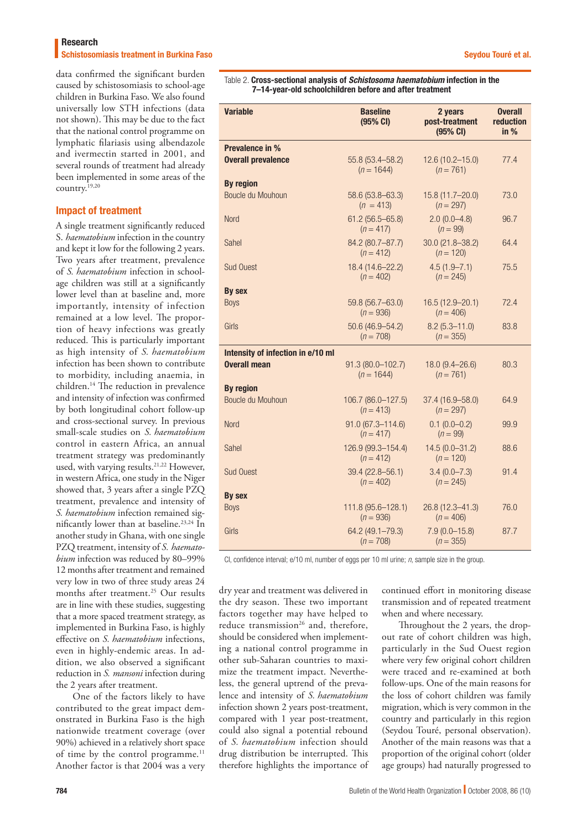#### Research

Schistosomiasis treatment in Burkina Faso Seydou Touré et al. Seydou Touré et al.

data confirmed the significant burden caused by schistosomiasis to school-age children in Burkina Faso. We also found universally low STH infections (data not shown). This may be due to the fact that the national control programme on lymphatic filariasis using albendazole and ivermectin started in 2001, and several rounds of treatment had already been implemented in some areas of the country.19,20

#### Impact of treatment

A single treatment significantly reduced S. *haematobium* infection in the country and kept it low for the following 2 years. Two years after treatment, prevalence of *S. haematobium* infection in schoolage children was still at a significantly lower level than at baseline and, more importantly, intensity of infection remained at a low level. The proportion of heavy infections was greatly reduced. This is particularly important as high intensity of *S. haematobium* infection has been shown to contribute to morbidity, including anaemia, in children.14 The reduction in prevalence and intensity of infection was confirmed by both longitudinal cohort follow-up and cross-sectional survey. In previous small-scale studies on *S. haematobium* control in eastern Africa, an annual treatment strategy was predominantly used, with varying results.<sup>21,22</sup> However, in western Africa, one study in the Niger showed that, 3 years after a single PZQ treatment, prevalence and intensity of *S. haematobium* infection remained significantly lower than at baseline.<sup>23,24</sup> In another study in Ghana, with one single PZQ treatment, intensity of *S. haematobium* infection was reduced by 80–99% 12 months after treatment and remained very low in two of three study areas 24 months after treatment.<sup>25</sup> Our results are in line with these studies, suggesting that a more spaced treatment strategy, as implemented in Burkina Faso, is highly effective on *S. haematobium* infections, even in highly-endemic areas. In addition, we also observed a significant reduction in *S. mansoni* infection during the 2 years after treatment.

One of the factors likely to have contributed to the great impact demonstrated in Burkina Faso is the high nationwide treatment coverage (over 90%) achieved in a relatively short space of time by the control programme.<sup>11</sup> Another factor is that 2004 was a very

Table 2. Cross-sectional analysis of *Schistosoma haematobium* infection in the 7–14-year-old schoolchildren before and after treatment

| <b>Variable</b>                   | <b>Baseline</b><br>(95% CI)         | 2 years<br>post-treatment<br>(95% CI) | <b>Overall</b><br>reduction<br>in % |
|-----------------------------------|-------------------------------------|---------------------------------------|-------------------------------------|
| <b>Prevalence in %</b>            |                                     |                                       |                                     |
| <b>Overall prevalence</b>         | 55.8 (53.4 - 58.2)<br>$(n = 1644)$  | 12.6 (10.2-15.0)<br>$(n = 761)$       | 77.4                                |
| <b>By region</b>                  |                                     |                                       |                                     |
| Boucle du Mouhoun                 | 58.6 (53.8-63.3)<br>$(n = 413)$     | 15.8 (11.7-20.0)<br>$(n = 297)$       | 73.0                                |
| <b>Nord</b>                       | $61.2(56.5 - 65.8)$<br>$(n = 417)$  | $2.0(0.0-4.8)$<br>$(n = 99)$          | 96.7                                |
| Sahel                             | 84.2 (80.7-87.7)<br>$(n = 412)$     | 30.0 (21.8-38.2)<br>$(n = 120)$       | 64.4                                |
| <b>Sud Ouest</b>                  | 18.4 (14.6-22.2)<br>$(n = 402)$     | $4.5(1.9 - 7.1)$<br>$(n = 245)$       | 75.5                                |
| By sex                            |                                     |                                       |                                     |
| <b>Boys</b>                       | 59.8 (56.7-63.0)<br>$(n = 936)$     | 16.5 (12.9-20.1)<br>$(n = 406)$       | 72.4                                |
| Girls                             | 50.6 (46.9-54.2)<br>$(n = 708)$     | $8.2(5.3 - 11.0)$<br>$(n = 355)$      | 83.8                                |
| Intensity of infection in e/10 ml |                                     |                                       |                                     |
| <b>Overall mean</b>               | 91.3 (80.0-102.7)<br>$(n = 1644)$   | 18.0 (9.4-26.6)<br>$(n = 761)$        | 80.3                                |
| <b>By region</b>                  |                                     |                                       |                                     |
| Boucle du Mouhoun                 | 106.7 (86.0-127.5)<br>$(n = 413)$   | 37.4 (16.9-58.0)<br>$(n = 297)$       | 64.9                                |
| Nord                              | $91.0(67.3 - 114.6)$<br>$(n = 417)$ | $0.1(0.0-0.2)$<br>$(n = 99)$          | 99.9                                |
| Sahel                             | 126.9 (99.3-154.4)<br>$(n = 412)$   | 14.5 (0.0-31.2)<br>$(n = 120)$        | 88.6                                |
| <b>Sud Ouest</b>                  | 39.4 (22.8-56.1)<br>$(n = 402)$     | $3.4(0.0 - 7.3)$<br>$(n = 245)$       | 91.4                                |
| <b>By sex</b>                     |                                     |                                       |                                     |
| <b>Boys</b>                       | 111.8 (95.6-128.1)<br>$(n = 936)$   | 26.8 (12.3-41.3)<br>$(n = 406)$       | 76.0                                |
| Girls                             | 64.2 (49.1-79.3)<br>$(n = 708)$     | $7.9(0.0 - 15.8)$<br>$(n = 355)$      | 87.7                                |

CI, confidence interval; e/10 ml, number of eggs per 10 ml urine; *n*, sample size in the group.

dry year and treatment was delivered in the dry season. These two important factors together may have helped to reduce transmission<sup>26</sup> and, therefore, should be considered when implementing a national control programme in other sub-Saharan countries to maximize the treatment impact. Nevertheless, the general uptrend of the prevalence and intensity of *S. haematobium* infection shown 2 years post-treatment, compared with 1 year post-treatment, could also signal a potential rebound of *S. haematobium* infection should drug distribution be interrupted. This therefore highlights the importance of

continued effort in monitoring disease transmission and of repeated treatment when and where necessary.

Throughout the 2 years, the dropout rate of cohort children was high, particularly in the Sud Ouest region where very few original cohort children were traced and re-examined at both follow-ups. One of the main reasons for the loss of cohort children was family migration, which is very common in the country and particularly in this region (Seydou Touré, personal observation). Another of the main reasons was that a proportion of the original cohort (older age groups) had naturally progressed to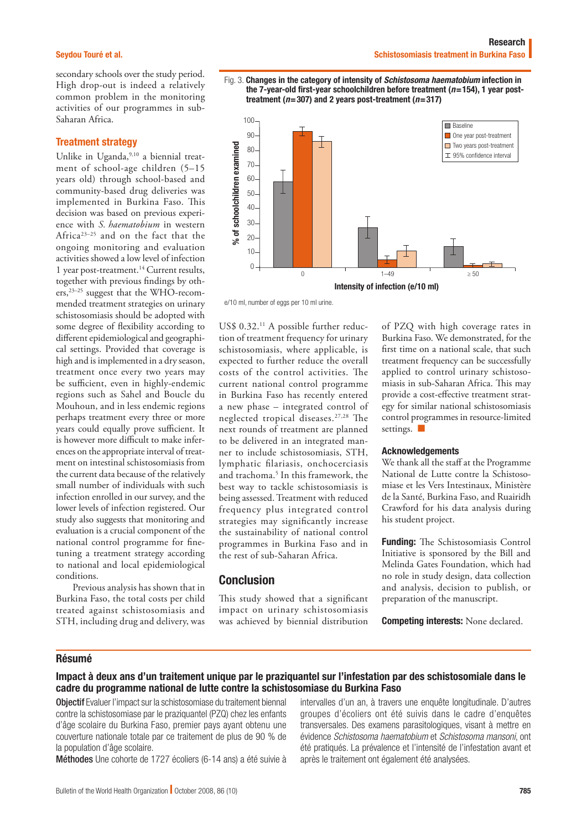secondary schools over the study period. High drop-out is indeed a relatively common problem in the monitoring activities of our programmes in sub-Saharan Africa.

#### Treatment strategy

Unlike in Uganda,<sup>9,10</sup> a biennial treatment of school-age children (5–15 years old) through school-based and community-based drug deliveries was implemented in Burkina Faso. This decision was based on previous experience with *S. haematobium* in western Africa23–25 and on the fact that the ongoing monitoring and evaluation activities showed a low level of infection 1 year post-treatment.14 Current results, together with previous findings by others,23–25 suggest that the WHO-recommended treatment strategies on urinary schistosomiasis should be adopted with some degree of flexibility according to different epidemiological and geographical settings. Provided that coverage is high and is implemented in a dry season, treatment once every two years may be sufficient, even in highly-endemic regions such as Sahel and Boucle du Mouhoun, and in less endemic regions perhaps treatment every three or more years could equally prove sufficient. It is however more difficult to make inferences on the appropriate interval of treatment on intestinal schistosomiasis from the current data because of the relatively small number of individuals with such infection enrolled in our survey, and the lower levels of infection registered. Our study also suggests that monitoring and evaluation is a crucial component of the national control programme for finetuning a treatment strategy according to national and local epidemiological conditions.

Previous analysis has shown that in Burkina Faso, the total costs per child treated against schistosomiasis and STH, including drug and delivery, was





e/10 ml, number of eggs per 10 ml urine.

US\$ 0.32.<sup>11</sup> A possible further reduction of treatment frequency for urinary schistosomiasis, where applicable, is expected to further reduce the overall costs of the control activities. The current national control programme in Burkina Faso has recently entered a new phase – integrated control of neglected tropical diseases.27,28 The next rounds of treatment are planned to be delivered in an integrated manner to include schistosomiasis, STH, lymphatic filariasis, onchocerciasis and trachoma.<sup>5</sup> In this framework, the best way to tackle schistosomiasis is being assessed. Treatment with reduced frequency plus integrated control strategies may significantly increase the sustainability of national control programmes in Burkina Faso and in the rest of sub-Saharan Africa.

## Conclusion

This study showed that a significant impact on urinary schistosomiasis was achieved by biennial distribution

of PZQ with high coverage rates in Burkina Faso. We demonstrated, for the first time on a national scale, that such treatment frequency can be successfully applied to control urinary schistosomiasis in sub-Saharan Africa. This may provide a cost-effective treatment strategy for similar national schistosomiasis control programmes in resource-limited settings.

#### Acknowledgements

We thank all the staff at the Programme National de Lutte contre la Schistosomiase et les Vers Intestinaux, Ministère de la Santé, Burkina Faso, and Ruairidh Crawford for his data analysis during his student project.

Funding: The Schistosomiasis Control Initiative is sponsored by the Bill and Melinda Gates Foundation, which had no role in study design, data collection and analysis, decision to publish, or preparation of the manuscript.

Competing interests: None declared.

#### Résumé

# Impact à deux ans d'un traitement unique par le praziquantel sur l'infestation par des schistosomiale dans le cadre du programme national de lutte contre la schistosomiase du Burkina Faso

Objectif Evaluer l'impact sur la schistosomiase du traitement biennal contre la schistosomiase par le praziquantel (PZQ) chez les enfants d'âge scolaire du Burkina Faso, premier pays ayant obtenu une couverture nationale totale par ce traitement de plus de 90 % de la population d'âge scolaire.

Méthodes Une cohorte de 1727 écoliers (6-14 ans) a été suivie à

intervalles d'un an, à travers une enquête longitudinale. D'autres groupes d'écoliers ont été suivis dans le cadre d'enquêtes transversales. Des examens parasitologiques, visant à mettre en évidence *Schistosoma haematobium* et *Schistosoma mansoni*, ont été pratiqués. La prévalence et l'intensité de l'infestation avant et après le traitement ont également été analysées.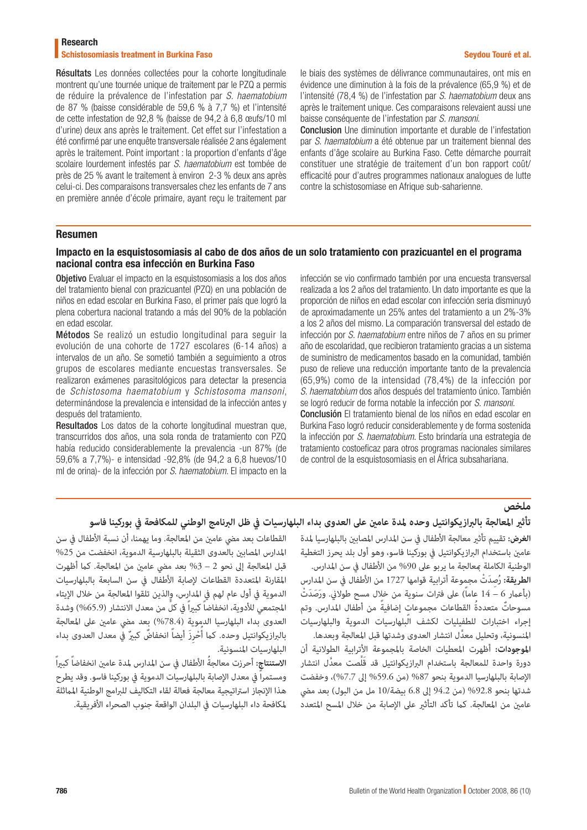## Research

## Schistosomiasis treatment in Burkina Faso Seydou Touré et al. Seydou Touré et al.

Résultats Les données collectées pour la cohorte longitudinale montrent qu'une tournée unique de traitement par le PZQ a permis de réduire la prévalence de l'infestation par *S. haematobium* de 87 % (baisse considérable de 59,6 % à 7,7 %) et l'intensité de cette infestation de 92,8 % (baisse de 94,2 à 6,8 œufs/10 ml d'urine) deux ans après le traitement. Cet effet sur l'infestation a été confirmé par une enquête transversale réalisée 2 ans également après le traitement. Point important : la proportion d'enfants d'âge scolaire lourdement infestés par *S. haematobium* est tombée de près de 25 % avant le traitement à environ 2-3 % deux ans après celui-ci. Des comparaisons transversales chez les enfants de 7 ans en première année d'école primaire, ayant reçu le traitement par le biais des systèmes de délivrance communautaires, ont mis en évidence une diminution à la fois de la prévalence (65,9 %) et de l'intensité (78,4 %) de l'infestation par *S. haematobium* deux ans après le traitement unique. Ces comparaisons relevaient aussi une baisse conséquente de l'infestation par *S. mansoni*.

Conclusion Une diminution importante et durable de l'infestation par *S. haematobium* a été obtenue par un traitement biennal des enfants d'âge scolaire au Burkina Faso. Cette démarche pourrait constituer une stratégie de traitement d'un bon rapport coût/ efficacité pour d'autres programmes nationaux analogues de lutte contre la schistosomiase en Afrique sub-saharienne.

#### Resumen

## Impacto en la esquistosomiasis al cabo de dos años de un solo tratamiento con prazicuantel en el programa nacional contra esa infección en Burkina Faso

Objetivo Evaluar el impacto en la esquistosomiasis a los dos años del tratamiento bienal con prazicuantel (PZQ) en una población de niños en edad escolar en Burkina Faso, el primer país que logró la plena cobertura nacional tratando a más del 90% de la población en edad escolar.

Métodos Se realizó un estudio longitudinal para seguir la evolución de una cohorte de 1727 escolares (6-14 años) a intervalos de un año. Se sometió también a seguimiento a otros grupos de escolares mediante encuestas transversales. Se realizaron exámenes parasitológicos para detectar la presencia de *Schistosoma haematobium* y *Schistosoma mansoni*, determinándose la prevalencia e intensidad de la infección antes y después del tratamiento.

Resultados Los datos de la cohorte longitudinal muestran que, transcurridos dos años, una sola ronda de tratamiento con PZQ había reducido considerablemente la prevalencia -un 87% (de 59,6% a 7,7%)- e intensidad -92,8% (de 94,2 a 6,8 huevos/10 ml de orina)- de la infección por *S. haematobium*. El impacto en la infección se vio confirmado también por una encuesta transversal realizada a los 2 años del tratamiento. Un dato importante es que la proporción de niños en edad escolar con infección seria disminuyó de aproximadamente un 25% antes del tratamiento a un 2%-3% a los 2 años del mismo. La comparación transversal del estado de infección por *S. haematobium* entre niños de 7 años en su primer año de escolaridad, que recibieron tratamiento gracias a un sistema de suministro de medicamentos basado en la comunidad, también puso de relieve una reducción importante tanto de la prevalencia (65,9%) como de la intensidad (78,4%) de la infección por *S. haematobium* dos años después del tratamiento único. También se logró reducir de forma notable la infección por *S. mansoni*. Conclusión El tratamiento bienal de los niños en edad escolar en Burkina Faso logró reducir considerablemente y de forma sostenida la infección por *S. haematobium*. Esto brindaría una estrategia de tratamiento costoeficaz para otros programas nacionales similares de control de la esquistosomiasis en el África subsahariana.

# **ملخص**

# **تأثري املعالجة بالربازيكوانتيل وحده ملدة عامني عىل العدوى بداء البلهارسيات يف ظل الربنامج الوطني للمكافحة يف بوركينا فاسو**

ا**لغرض:** تقييم تأثير معالجة الأطفال في سن المدارس المصابن بالبلهارسيا لمدة عامني باستخدام الربازيكوانتيل يف بوركينا فاسو، وهو أول بلد يحرز التغطية الوطنية الكاملة معالجة ما يربو على 90% من الأطفال في سن المدارس. **الطريقة:** ُ رِصَد ْت مجموعة أترابية قوامها 1727 من األطفال يف سن املدارس )بأعامر 6 – 14 عاماً َ ( عىل فرتات سنوية من خالل مسح طوالين. ورَصَد ْت مسوحاتٌ متعددةُ القطاعات مجموعات إضافيةً من أطفال المدارس. وتم إجراء اختبارات للطفيليات لكشف البلهارسيات الدموية والبلهارسيات َّ املنسونية، وتحليل معدل انتشار العدوى وشدتها قبل املعالجة وبعدها.

**املوجودات:** أظهرت املعطيات الخاصة باملجموعة األترابية الطوالنية أن دورة واحدة للمعالجة باستخدام البرازيكوانتيل قد قَلَّصت معدَّل انتشار الإصابة بالبلهارسيا الدموية بنحو 87% (من 59.6% إلى 7.7%)، وخفضت شدتها بنحو 92.8% (من 94.2 إلى 6.8 بيضة/10 مل من البول) بعد مضى عامن من المعالجة. كما تأكد التأثير على الإصابة من خلال المسح المتعدد

القطاعات بعد مضي عامين من المعالجة. وما يهمنا، أن نسبة الأطفال في سن املدارس املصابني بالعدوى الثقيلة بالبلهارسية الدموية، انخفضت من %25 قبل املعالجة إىل نحو 2 – %3 بعد ميض عامني من املعالجة. كام أظهرت املقارنة املتعددة القطاعات إلصابة األطفال يف سن السابعة بالبلهارسيات الدموية في أول عام لهم في المدارس، والذين تلقوا المعالجة من خلال الإيتاء المجتمعي للأدوية، انخفاضاً كبيراً في كلِّ من معدل الانتشار (65.9%) وشدة العدوى بداء البلهارسيا الدموية (78.4%) بعد مضى عامن على المعالجة بالبرازيكوانتيل وحده. كما أُحْرِزَ أيضاً انخفاضٌ كبيرٌ في معدل العدوى بداء ُ<br>ا البلهارسيات المنسونية.<br>**الاستنتاج:** أحرزت معالجةُ الأطفال في سن المدارس لمدة عامين انخفاضاً كبيراً

ومستمراً يف معدل اإلصابة بالبلهارسيات الدموية يف بوركينا فاسو. وقد يطرح هذا الإنجاز استراتيجية معالجة فعالة لقاء التكاليف للبرامج الوطنية المماثلة ملكافحة داء البلهارسيات يف البلدان الواقعة جنوب الصحراء األفريقية.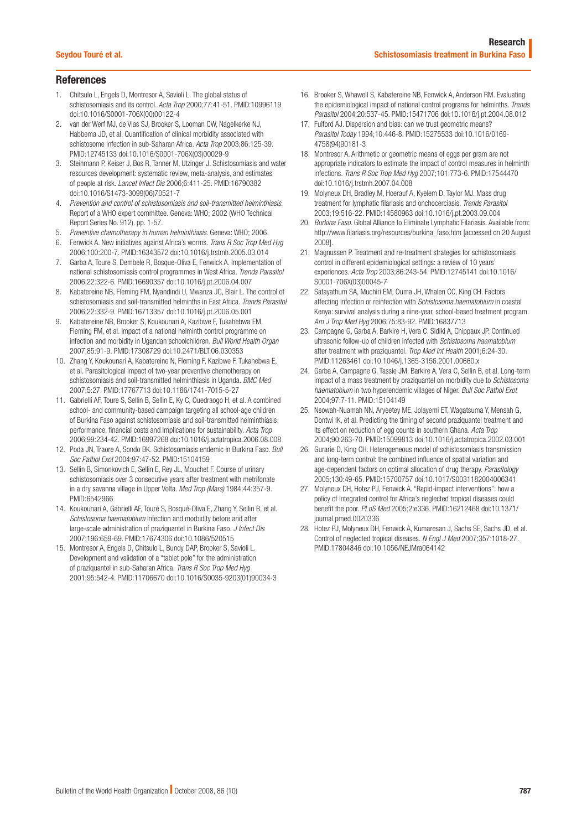## **References**

- 1. Chitsulo L, Engels D, Montresor A, Savioli L. The global status of schistosomiasis and its control. *Acta Trop* 2000;77:41-51. [PMID:10996119](http://www.ncbi.nlm.nih.gov/sites/entrez?cmd=Retrieve&db=PubMed&list_uids=10996119&dopt=Abstract) [doi:10.1016/S0001-706X\(00\)00122-4](http://dx.doi.org/10.1016/S0001-706X(00)00122-4)
- 2. van der Werf MJ, de Vlas SJ, Brooker S, Looman CW, Nagelkerke NJ, Habbema JD, et al. Quantification of clinical morbidity associated with schistosome infection in sub-Saharan Africa. *Acta Trop* 2003;86:125-39. [PMID:12745133](http://www.ncbi.nlm.nih.gov/sites/entrez?cmd=Retrieve&db=PubMed&list_uids=12745133&dopt=Abstract) [doi:10.1016/S0001-706X\(03\)00029-9](http://dx.doi.org/10.1016/S0001-706X(03)00029-9)
- 3. Steinmann P, Keiser J, Bos R, Tanner M, Utzinger J. Schistosomiasis and water resources development: systematic review, meta-analysis, and estimates of people at risk. *Lancet Infect Dis* 2006;6:411-25. [PMID:16790382](http://www.ncbi.nlm.nih.gov/sites/entrez?cmd=Retrieve&db=PubMed&list_uids=16790382&dopt=Abstract) [doi:10.1016/S1473-3099\(06\)70521-7](http://dx.doi.org/10.1016/S1473-3099(06)70521-7)
- 4. *Prevention and control of schistosomiasis and soil-transmitted helminthiasis*. Report of a WHO expert committee. Geneva: WHO; 2002 (WHO Technical Report Series No. 912). pp. 1-57.
- 5. *Preventive chemotherapy in human helminthiasis*. Geneva: WHO; 2006.
- 6. Fenwick A. New initiatives against Africa's worms. *Trans R Soc Trop Med Hyg* 2006;100:200-7. [PMID:16343572](http://www.ncbi.nlm.nih.gov/sites/entrez?cmd=Retrieve&db=PubMed&list_uids=16343572&dopt=Abstract) [doi:10.1016/j.trstmh.2005.03.014](http://dx.doi.org/10.1016/j.trstmh.2005.03.014)
- 7. Garba A, Toure S, Dembele R, Bosque-Oliva E, Fenwick A. Implementation of national schistosomiasis control programmes in West Africa. *Trends Parasitol* 2006;22:322-6. [PMID:16690357](http://www.ncbi.nlm.nih.gov/sites/entrez?cmd=Retrieve&db=PubMed&list_uids=16690357&dopt=Abstract) [doi:10.1016/j.pt.2006.04.007](http://dx.doi.org/10.1016/j.pt.2006.04.007)
- 8. Kabatereine NB, Fleming FM, Nyandindi U, Mwanza JC, Blair L. The control of schistosomiasis and soil-transmitted helminths in East Africa. *Trends Parasitol* 2006;22:332-9. [PMID:16713357](http://www.ncbi.nlm.nih.gov/sites/entrez?cmd=Retrieve&db=PubMed&list_uids=16713357&dopt=Abstract) [doi:10.1016/j.pt.2006.05.001](http://dx.doi.org/10.1016/j.pt.2006.05.001)
- 9. Kabatereine NB, Brooker S, Koukounari A, Kazibwe F, Tukahebwa EM, Fleming FM, et al. Impact of a national helminth control programme on infection and morbidity in Ugandan schoolchildren. *Bull World Health Organ* 2007;85:91-9. [PMID:17308729](http://www.ncbi.nlm.nih.gov/sites/entrez?cmd=Retrieve&db=PubMed&list_uids=17308729&dopt=Abstract) [doi:10.2471/BLT.06.030353](http://dx.doi.org/10.2471/BLT.06.030353)
- 10. Zhang Y, Koukounari A, Kabatereine N, Fleming F, Kazibwe F, Tukahebwa E, et al. Parasitological impact of two-year preventive chemotherapy on schistosomiasis and soil-transmitted helminthiasis in Uganda. *BMC Med* 2007;5:27. [PMID:17767713](http://www.ncbi.nlm.nih.gov/sites/entrez?cmd=Retrieve&db=PubMed&list_uids=17767713&dopt=Abstract) [doi:10.1186/1741-7015-5-27](http://dx.doi.org/10.1186/1741-7015-5-27)
- 11. Gabrielli AF, Toure S, Sellin B, Sellin E, Ky C, Ouedraogo H, et al. A combined school- and community-based campaign targeting all school-age children of Burkina Faso against schistosomiasis and soil-transmitted helminthiasis: performance, financial costs and implications for sustainability. *Acta Trop* 2006;99:234-42. [PMID:16997268](http://www.ncbi.nlm.nih.gov/sites/entrez?cmd=Retrieve&db=PubMed&list_uids=16997268&dopt=Abstract) [doi:10.1016/j.actatropica.2006.08.008](http://dx.doi.org/10.1016/j.actatropica.2006.08.008)
- 12. Poda JN, Traore A, Sondo BK. Schistosomiasis endemic in Burkina Faso. *Bull Soc Pathol Exot* 2004;97:47-52. [PMID:15104159](http://www.ncbi.nlm.nih.gov/sites/entrez?cmd=Retrieve&db=PubMed&list_uids=15104159&dopt=Abstract)
- 13. Sellin B, Simonkovich E, Sellin E, Rey JL, Mouchet F. Course of urinary schistosomiasis over 3 consecutive years after treatment with metrifonate in a dry savanna village in Upper Volta. *Med Trop (Mars)* 1984;44:357-9. [PMID:6542966](http://www.ncbi.nlm.nih.gov/pubmed/6542966)
- 14. Koukounari A, Gabrielli AF, Touré S, Bosqué-Oliva E, Zhang Y, Sellin B, et al. *Schistosoma haematobium* infection and morbidity before and after large-scale administration of praziquantel in Burkina Faso. *J Infect Dis* 2007;196:659-69. [PMID:17674306](http://www.ncbi.nlm.nih.gov/sites/entrez?cmd=Retrieve&db=PubMed&list_uids=17674306&dopt=Abstract) [doi:10.1086/520515](http://dx.doi.org/10.1086/520515)
- 15. Montresor A, Engels D, Chitsulo L, Bundy DAP, Brooker S, Savioli L. Development and validation of a "tablet pole" for the administration of praziquantel in sub-Saharan Africa. *Trans R Soc Trop Med Hyg* 2001;95:542-4. [PMID:11706670](http://www.ncbi.nlm.nih.gov/sites/entrez?cmd=Retrieve&db=PubMed&list_uids=11706670&dopt=Abstract) [doi:10.1016/S0035-9203\(01\)90034-3](http://dx.doi.org/10.1016/S0035-9203(01)90034-3)
- 16. Brooker S, Whawell S, Kabatereine NB, Fenwick A, Anderson RM. Evaluating the epidemiological impact of national control programs for helminths. *Trends Parasitol* 2004;20:537-45. [PMID:15471706](http://www.ncbi.nlm.nih.gov/sites/entrez?cmd=Retrieve&db=PubMed&list_uids=15471706&dopt=Abstract) [doi:10.1016/j.pt.2004.08.012](http://dx.doi.org/10.1016/j.pt.2004.08.012)
- 17. Fulford AJ. Dispersion and bias: can we trust geometric means? *Parasitol Today* 1994;10:446-8. [PMID:15275533](http://www.ncbi.nlm.nih.gov/sites/entrez?cmd=Retrieve&db=PubMed&list_uids=15275533&dopt=Abstract) [doi:10.1016/0169-](http://dx.doi.org/10.1016/0169-4758(94)90181-3) [4758\(94\)90181-3](http://dx.doi.org/10.1016/0169-4758(94)90181-3)
- 18. Montresor A. Arithmetic or geometric means of eggs per gram are not appropriate indicators to estimate the impact of control measures in helminth infections. *Trans R Soc Trop Med Hyg* 2007;101:773-6. [PMID:17544470](http://www.ncbi.nlm.nih.gov/sites/entrez?cmd=Retrieve&db=PubMed&list_uids=17544470&dopt=Abstract) [doi:10.1016/j.trstmh.2007.04.008](http://dx.doi.org/10.1016/j.trstmh.2007.04.008)
- 19. Molyneux DH, Bradley M, Hoerauf A, Kyelem D, Taylor MJ. Mass drug treatment for lymphatic filariasis and onchocerciasis. *Trends Parasitol* 2003;19:516-22. [PMID:14580963](http://www.ncbi.nlm.nih.gov/sites/entrez?cmd=Retrieve&db=PubMed&list_uids=14580963&dopt=Abstract) [doi:10.1016/j.pt.2003.09.004](http://dx.doi.org/10.1016/j.pt.2003.09.004)
- 20. *Burkina Faso*. Global Alliance to Eliminate Lymphatic Filariasis. Available from: [http://www.filariasis.org/resources/burkina\\_faso.htm](http://www.filariasis.org/resources/burkina_faso.htm) [accessed on 20 August 2008].
- 21. Magnussen P. Treatment and re-treatment strategies for schistosomiasis control in different epidemiological settings: a review of 10 years' experiences. *Acta Trop* 2003;86:243-54. [PMID:12745141](http://www.ncbi.nlm.nih.gov/sites/entrez?cmd=Retrieve&db=PubMed&list_uids=12745141&dopt=Abstract) [doi:10.1016/](http://dx.doi.org/10.1016/S0001-706X(03)00045-7) [S0001-706X\(03\)00045-7](http://dx.doi.org/10.1016/S0001-706X(03)00045-7)
- 22. Satayathum SA, Muchiri EM, Ouma JH, Whalen CC, King CH. Factors affecting infection or reinfection with *Schistosoma haematobium* in coastal Kenya: survival analysis during a nine-year, school-based treatment program. *Am J Trop Med Hyg* 2006;75:83-92. [PMID:16837713](http://www.ncbi.nlm.nih.gov/sites/entrez?cmd=Retrieve&db=PubMed&list_uids=16837713&dopt=Abstract)
- 23. Campagne G, Garba A, Barkire H, Vera C, Sidiki A, Chippaux JP. Continued ultrasonic follow-up of children infected with *Schistosoma haematobium* after treatment with praziquantel. *Trop Med Int Health* 2001;6:24-30. [PMID:11263461](http://www.ncbi.nlm.nih.gov/sites/entrez?cmd=Retrieve&db=PubMed&list_uids=11263461&dopt=Abstract) [doi:10.1046/j.1365-3156.2001.00660.x](http://dx.doi.org/10.1046/j.1365-3156.2001.00660.x)
- 24. Garba A, Campagne G, Tassie JM, Barkire A, Vera C, Sellin B, et al. Long-term impact of a mass treatment by praziquantel on morbidity due to *Schistosoma haematobium* in two hyperendemic villages of Niger. *Bull Soc Pathol Exot* 2004;97:7-11. [PMID:15104149](http://www.ncbi.nlm.nih.gov/sites/entrez?cmd=Retrieve&db=PubMed&list_uids=15104149&dopt=Abstract)
- 25. Nsowah-Nuamah NN, Aryeetey ME, Jolayemi ET, Wagatsuma Y, Mensah G, Dontwi IK, et al. Predicting the timing of second praziquantel treatment and its effect on reduction of egg counts in southern Ghana. *Acta Trop* 2004;90:263-70. [PMID:15099813](http://www.ncbi.nlm.nih.gov/sites/entrez?cmd=Retrieve&db=PubMed&list_uids=15099813&dopt=Abstract) [doi:10.1016/j.actatropica.2002.03.001](http://dx.doi.org/10.1016/j.actatropica.2002.03.001)
- 26. Gurarie D, King CH. Heterogeneous model of schistosomiasis transmission and long-term control: the combined influence of spatial variation and age-dependent factors on optimal allocation of drug therapy. *Parasitology* 2005;130:49-65. [PMID:15700757](http://www.ncbi.nlm.nih.gov/sites/entrez?cmd=Retrieve&db=PubMed&list_uids=15700757&dopt=Abstract) [doi:10.1017/S0031182004006341](http://dx.doi.org/10.1017/S0031182004006341)
- 27. Molyneux DH, Hotez PJ, Fenwick A. "Rapid-impact interventions": how a policy of integrated control for Africa's neglected tropical diseases could benefit the poor. *PLoS Med* 2005;2:e336. [PMID:16212468](http://www.ncbi.nlm.nih.gov/sites/entrez?cmd=Retrieve&db=PubMed&list_uids=16212468&dopt=Abstract) [doi:10.1371/](http://dx.doi.org/10.1371/journal.pmed.0020336) [journal.pmed.0020336](http://dx.doi.org/10.1371/journal.pmed.0020336)
- 28. Hotez PJ, Molyneux DH, Fenwick A, Kumaresan J, Sachs SE, Sachs JD, et al. Control of neglected tropical diseases. *N Engl J Med* 2007;357:1018-27. [PMID:17804846](http://www.ncbi.nlm.nih.gov/sites/entrez?cmd=Retrieve&db=PubMed&list_uids=17804846&dopt=Abstract) [doi:10.1056/NEJMra064142](http://dx.doi.org/10.1056/NEJMra064142)